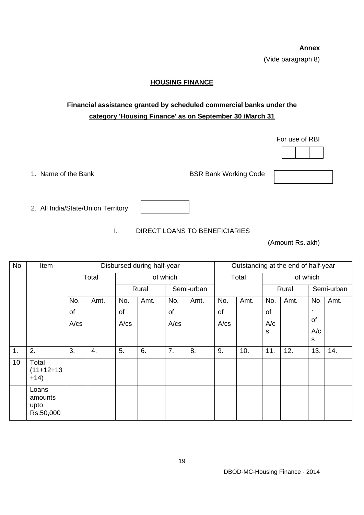**Annex**  (Vide paragraph 8)

## **HOUSING FINANCE**

## **Financial assistance granted by scheduled commercial banks under the category 'Housing Finance' as on September 30 /March 31**

For use of RBI

1. Name of the Bank BSR Bank Working Code



I. DIRECT LOANS TO BENEFICIARIES

(Amount Rs.lakh)

| <b>No</b>       | Item                                  | Disbursed during half-year |      |            |      |            | Outstanding at the end of half-year |       |      |          |      |            |      |
|-----------------|---------------------------------------|----------------------------|------|------------|------|------------|-------------------------------------|-------|------|----------|------|------------|------|
|                 |                                       | Total                      |      | of which   |      |            |                                     | Total |      | of which |      |            |      |
|                 |                                       |                            |      | Rural      |      | Semi-urban |                                     |       |      | Rural    |      | Semi-urban |      |
|                 |                                       | No.                        | Amt. | No.        | Amt. | No.        | Amt.                                | No.   | Amt. | No.      | Amt. | No         | Amt. |
|                 |                                       | of                         |      | of         |      | of         |                                     | of    |      | of       |      | ٠          |      |
|                 |                                       | A/cs                       |      | $A$ / $cs$ |      | $A$ / $cs$ |                                     | A/cs  |      | A/c      |      | of         |      |
|                 |                                       |                            |      |            |      |            |                                     |       |      | s        |      | A/c        |      |
|                 |                                       |                            |      |            |      |            |                                     |       |      |          |      | s          |      |
| 1.              | 2.                                    | 3.                         | 4.   | 5.         | 6.   | 7.         | 8.                                  | 9.    | 10.  | 11.      | 12.  | 13.        | 14.  |
| 10 <sup>°</sup> | Total<br>$(11+12+13)$<br>$+14)$       |                            |      |            |      |            |                                     |       |      |          |      |            |      |
|                 | Loans<br>amounts<br>upto<br>Rs.50,000 |                            |      |            |      |            |                                     |       |      |          |      |            |      |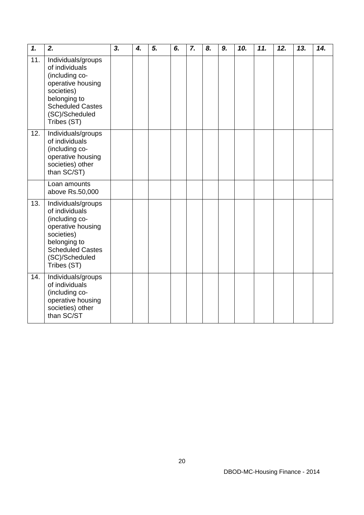| $\mathbf{1}$ . | 2.                                                                                                                                                                    | 3. | 4. | 5. | 6. | 7. | 8. | 9. | 10. | 11. | 12. | 13. | 14. |
|----------------|-----------------------------------------------------------------------------------------------------------------------------------------------------------------------|----|----|----|----|----|----|----|-----|-----|-----|-----|-----|
| 11.            | Individuals/groups<br>of individuals<br>(including co-<br>operative housing<br>societies)<br>belonging to<br><b>Scheduled Castes</b><br>(SC)/Scheduled<br>Tribes (ST) |    |    |    |    |    |    |    |     |     |     |     |     |
| 12.            | Individuals/groups<br>of individuals<br>(including co-<br>operative housing<br>societies) other<br>than SC/ST)                                                        |    |    |    |    |    |    |    |     |     |     |     |     |
|                | Loan amounts<br>above Rs.50,000                                                                                                                                       |    |    |    |    |    |    |    |     |     |     |     |     |
| 13.            | Individuals/groups<br>of individuals<br>(including co-<br>operative housing<br>societies)<br>belonging to<br><b>Scheduled Castes</b><br>(SC)/Scheduled<br>Tribes (ST) |    |    |    |    |    |    |    |     |     |     |     |     |
| 14.            | Individuals/groups<br>of individuals<br>(including co-<br>operative housing<br>societies) other<br>than SC/ST                                                         |    |    |    |    |    |    |    |     |     |     |     |     |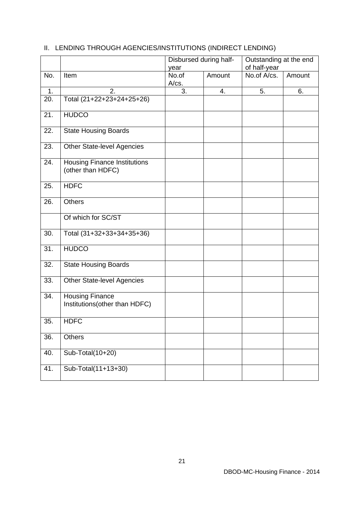|                |                                                          | year           | Disbursed during half- | Outstanding at the end<br>of half-year |        |  |
|----------------|----------------------------------------------------------|----------------|------------------------|----------------------------------------|--------|--|
| No.            | Item                                                     | No.of<br>A/cs. | Amount                 | No.of A/cs.                            | Amount |  |
| $\mathbf{1}$ . | 2.                                                       | 3.             | 4.                     | 5.                                     | 6.     |  |
| 20.            | Total (21+22+23+24+25+26)                                |                |                        |                                        |        |  |
| 21.            | <b>HUDCO</b>                                             |                |                        |                                        |        |  |
| 22.            | <b>State Housing Boards</b>                              |                |                        |                                        |        |  |
| 23.            | <b>Other State-level Agencies</b>                        |                |                        |                                        |        |  |
| 24.            | <b>Housing Finance Institutions</b><br>(other than HDFC) |                |                        |                                        |        |  |
| 25.            | <b>HDFC</b>                                              |                |                        |                                        |        |  |
| 26.            | <b>Others</b>                                            |                |                        |                                        |        |  |
|                | Of which for SC/ST                                       |                |                        |                                        |        |  |
| 30.            | Total (31+32+33+34+35+36)                                |                |                        |                                        |        |  |
| 31.            | <b>HUDCO</b>                                             |                |                        |                                        |        |  |
| 32.            | <b>State Housing Boards</b>                              |                |                        |                                        |        |  |
| 33.            | <b>Other State-level Agencies</b>                        |                |                        |                                        |        |  |
| 34.            | <b>Housing Finance</b><br>Institutions(other than HDFC)  |                |                        |                                        |        |  |
| 35.            | <b>HDFC</b>                                              |                |                        |                                        |        |  |
| 36.            | <b>Others</b>                                            |                |                        |                                        |        |  |
| 40.            | Sub-Total(10+20)                                         |                |                        |                                        |        |  |
| 41.            | Sub-Total(11+13+30)                                      |                |                        |                                        |        |  |

## II. LENDING THROUGH AGENCIES/INSTITUTIONS (INDIRECT LENDING)